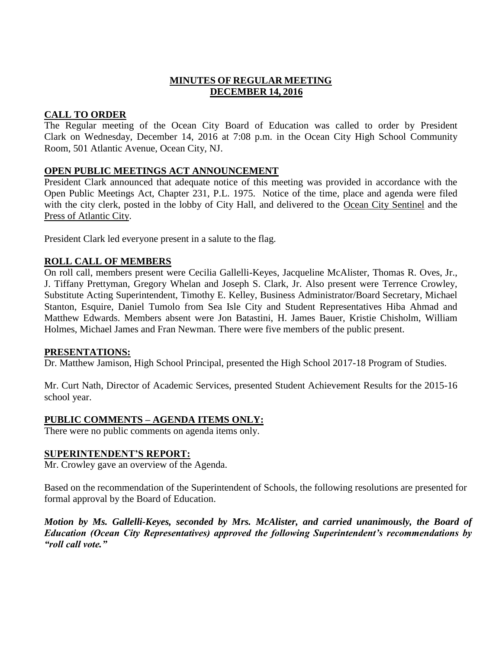# **MINUTES OF REGULAR MEETING DECEMBER 14, 2016**

## **CALL TO ORDER**

The Regular meeting of the Ocean City Board of Education was called to order by President Clark on Wednesday, December 14, 2016 at 7:08 p.m. in the Ocean City High School Community Room, 501 Atlantic Avenue, Ocean City, NJ.

## **OPEN PUBLIC MEETINGS ACT ANNOUNCEMENT**

President Clark announced that adequate notice of this meeting was provided in accordance with the Open Public Meetings Act, Chapter 231, P.L. 1975. Notice of the time, place and agenda were filed with the city clerk, posted in the lobby of City Hall, and delivered to the Ocean City Sentinel and the Press of Atlantic City.

President Clark led everyone present in a salute to the flag.

### **ROLL CALL OF MEMBERS**

On roll call, members present were Cecilia Gallelli-Keyes, Jacqueline McAlister, Thomas R. Oves, Jr., J. Tiffany Prettyman, Gregory Whelan and Joseph S. Clark, Jr. Also present were Terrence Crowley, Substitute Acting Superintendent, Timothy E. Kelley, Business Administrator/Board Secretary, Michael Stanton, Esquire, Daniel Tumolo from Sea Isle City and Student Representatives Hiba Ahmad and Matthew Edwards. Members absent were Jon Batastini, H. James Bauer, Kristie Chisholm, William Holmes, Michael James and Fran Newman. There were five members of the public present.

### **PRESENTATIONS:**

Dr. Matthew Jamison, High School Principal, presented the High School 2017-18 Program of Studies.

Mr. Curt Nath, Director of Academic Services, presented Student Achievement Results for the 2015-16 school year.

# **PUBLIC COMMENTS – AGENDA ITEMS ONLY:**

There were no public comments on agenda items only.

### **SUPERINTENDENT'S REPORT:**

Mr. Crowley gave an overview of the Agenda.

Based on the recommendation of the Superintendent of Schools, the following resolutions are presented for formal approval by the Board of Education.

*Motion by Ms. Gallelli-Keyes, seconded by Mrs. McAlister, and carried unanimously, the Board of Education (Ocean City Representatives) approved the following Superintendent's recommendations by "roll call vote."*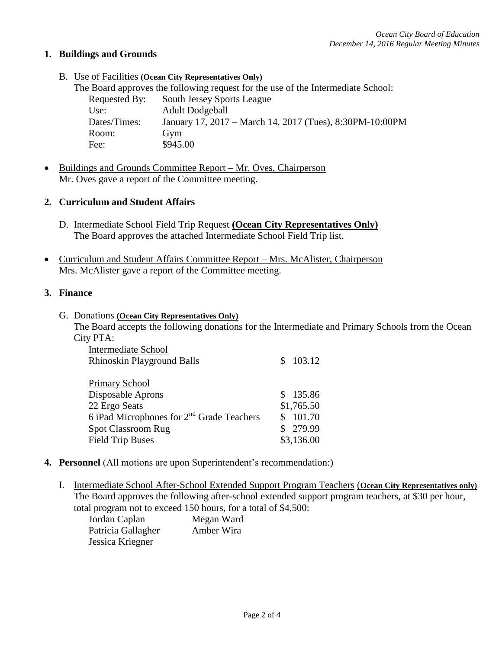## **1. Buildings and Grounds**

B. Use of Facilities **(Ocean City Representatives Only)**

|               | The Board approves the following request for the use of the Intermediate School: |
|---------------|----------------------------------------------------------------------------------|
| Requested By: | <b>South Jersey Sports League</b>                                                |
| Use:          | <b>Adult Dodgeball</b>                                                           |
| Dates/Times:  | January 17, 2017 – March 14, 2017 (Tues), 8:30PM-10:00PM                         |
| Room:         | Gym                                                                              |
| Fee:          | \$945.00                                                                         |

• Buildings and Grounds Committee Report – Mr. Oves, Chairperson Mr. Oves gave a report of the Committee meeting.

## **2. Curriculum and Student Affairs**

- D. Intermediate School Field Trip Request **(Ocean City Representatives Only)** The Board approves the attached Intermediate School Field Trip list.
- Curriculum and Student Affairs Committee Report Mrs. McAlister, Chairperson Mrs. McAlister gave a report of the Committee meeting.

### **3. Finance**

G. Donations **(Ocean City Representatives Only)** The Board accepts the following donations for the Intermediate and Primary Schools from the Ocean City PTA:

| <b>Intermediate School</b>                            |            |
|-------------------------------------------------------|------------|
| <b>Rhinoskin Playground Balls</b>                     | 103.12     |
|                                                       |            |
| <b>Primary School</b>                                 |            |
| Disposable Aprons                                     | \$135.86   |
| 22 Ergo Seats                                         | \$1,765.50 |
| 6 iPad Microphones for 2 <sup>nd</sup> Grade Teachers | 101.70     |
| <b>Spot Classroom Rug</b>                             | 279.99     |
| <b>Field Trip Buses</b>                               | \$3,136.00 |

### **4. Personnel** (All motions are upon Superintendent's recommendation:)

I. Intermediate School After-School Extended Support Program Teachers (**Ocean City Representatives only)** The Board approves the following after-school extended support program teachers, at \$30 per hour, total program not to exceed 150 hours, for a total of \$4,500:

| Jordan Caplan      | Megan Ward |
|--------------------|------------|
| Patricia Gallagher | Amber Wira |
| Jessica Kriegner   |            |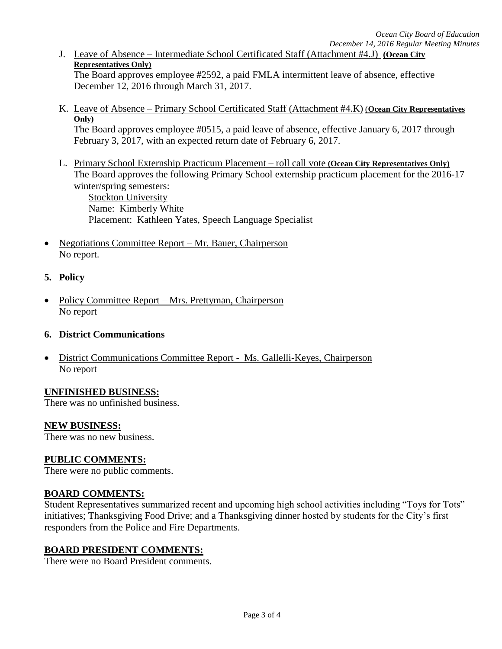J. Leave of Absence – Intermediate School Certificated Staff (Attachment #4.J) **(Ocean City Representatives Only)**

The Board approves employee #2592, a paid FMLA intermittent leave of absence, effective December 12, 2016 through March 31, 2017.

K. Leave of Absence – Primary School Certificated Staff (Attachment #4.K) (**Ocean City Representatives Only)**

The Board approves employee #0515, a paid leave of absence, effective January 6, 2017 through February 3, 2017, with an expected return date of February 6, 2017.

- L. Primary School Externship Practicum Placement roll call vote **(Ocean City Representatives Only)** The Board approves the following Primary School externship practicum placement for the 2016-17 winter/spring semesters: Stockton University Name: Kimberly White Placement: Kathleen Yates, Speech Language Specialist
- Negotiations Committee Report Mr. Bauer, Chairperson No report.

## **5. Policy**

 Policy Committee Report – Mrs. Prettyman, Chairperson No report

### **6. District Communications**

 District Communications Committee Report - Ms. Gallelli-Keyes, Chairperson No report

### **UNFINISHED BUSINESS:**

There was no unfinished business.

### **NEW BUSINESS:**

There was no new business.

# **PUBLIC COMMENTS:**

There were no public comments.

# **BOARD COMMENTS:**

Student Representatives summarized recent and upcoming high school activities including "Toys for Tots" initiatives; Thanksgiving Food Drive; and a Thanksgiving dinner hosted by students for the City's first responders from the Police and Fire Departments.

# **BOARD PRESIDENT COMMENTS:**

There were no Board President comments.